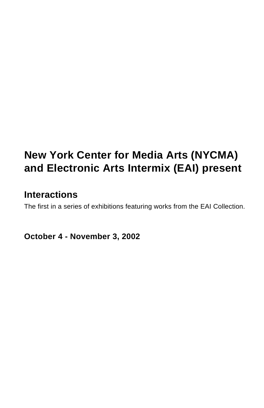# **New York Center for Media Arts (NYCMA) and Electronic Arts Intermix (EAI) present**

# **Interactions**

The first in a series of exhibitions featuring works from the EAI Collection.

**October 4 - November 3, 2002**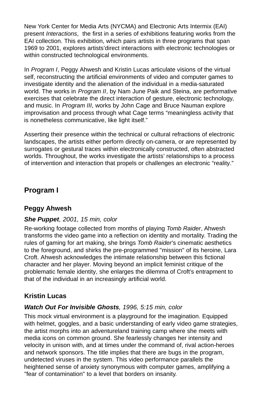New York Center for Media Arts (NYCMA) and Electronic Arts Intermix (EAI) present *Interactions*, the first in a series of exhibitions featuring works from the EAI collection. This exhibition, which pairs artists in three programs that span 1969 to 2001, explores artists'direct interactions with electronic technologies or within constructed technological environments.

In *Program I*, Peggy Ahwesh and Kristin Lucas articulate visions of the virtual self, reconstructing the artificial environments of video and computer games to investigate identity and the alienation of the individual in a media-saturated world. The works in *Program II*, by Nam June Paik and Steina, are performative exercises that celebrate the direct interaction of gesture, electronic technology, and music. In *Program III*, works by John Cage and Bruce Nauman explore improvisation and process through what Cage terms "meaningless activity that is nonetheless communicative, like light itself."

Asserting their presence within the technical or cultural refractions of electronic landscapes, the artists either perform directly on-camera, or are represented by surrogates or gestural traces within electronically constructed, often abstracted worlds. Throughout, the works investigate the artists' relationships to a process of intervention and interaction that propels or challenges an electronic "reality."

#### **Program I**

#### **Peggy Ahwesh**

#### *She Puppet, 2001, 15 min, color*

Re-working footage collected from months of playing *Tomb Raider*, Ahwesh transforms the video game into a reflection on identity and mortality. Trading the rules of gaming for art making, she brings *Tomb Raider*'s cinematic aesthetics to the foreground, and shirks the pre-programmed "mission" of its heroine, Lara Croft. Ahwesh acknowledges the intimate relationship between this fictional character and her player. Moving beyond an implicit feminist critique of the problematic female identity, she enlarges the dilemma of Croft's entrapment to that of the individual in an increasingly artificial world.

#### **Kristin Lucas**

#### *Watch Out For Invisible Ghosts, 1996, 5:15 min, color*

This mock virtual environment is a playground for the imagination. Equipped with helmet, goggles, and a basic understanding of early video game strategies, the artist morphs into an adventureland training camp where she meets with media icons on common ground. She fearlessly changes her intensity and velocity in unison with, and at times under the command of, rival action-heroes and network sponsors. The title implies that there are bugs in the program, undetected viruses in the system. This video performance parallels the heightened sense of anxiety synonymous with computer games, amplifying a "fear of contamination" to a level that borders on insanity.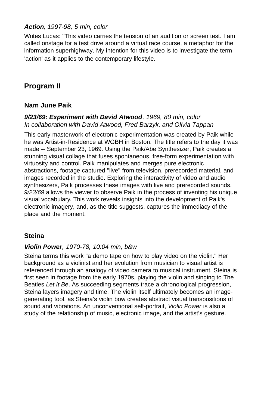#### *Action, 1997-98, 5 min, color*

Writes Lucas: "This video carries the tension of an audition or screen test. I am called onstage for a test drive around a virtual race course, a metaphor for the information superhighway. My intention for this video is to investigate the term 'action' as it applies to the contemporary lifestyle.

## **Program II**

#### **Nam June Paik**

#### *9/23/69: Experiment with David Atwood, 1969, 80 min, color In collaboration with David Atwood, Fred Barzyk, and Olivia Tappan*

This early masterwork of electronic experimentation was created by Paik while he was Artist-in-Residence at WGBH in Boston. The title refers to the day it was made -- September 23, 1969. Using the Paik/Abe Synthesizer, Paik creates a stunning visual collage that fuses spontaneous, free-form experimentation with virtuosity and control. Paik manipulates and merges pure electronic abstractions, footage captured "live" from television, prerecorded material, and images recorded in the studio. Exploring the interactivity of video and audio synthesizers, Paik processes these images with live and prerecorded sounds. *9/23/69* allows the viewer to observe Paik in the process of inventing his unique visual vocabulary. This work reveals insights into the development of Paik's electronic imagery, and, as the title suggests, captures the immediacy of the place and the moment.

#### **Steina**

#### *Violin Power, 1970-78, 10:04 min, b&w*

Steina terms this work "a demo tape on how to play video on the violin." Her background as a violinist and her evolution from musician to visual artist is referenced through an analogy of video camera to musical instrument. Steina is first seen in footage from the early 1970s, playing the violin and singing to The Beatles *Let It Be*. As succeeding segments trace a chronological progression, Steina layers imagery and time. The violin itself ultimately becomes an imagegenerating tool, as Steina's violin bow creates abstract visual transpositions of sound and vibrations. An unconventional self-portrait, *Violin Power* is also a study of the relationship of music, electronic image, and the artist's gesture.